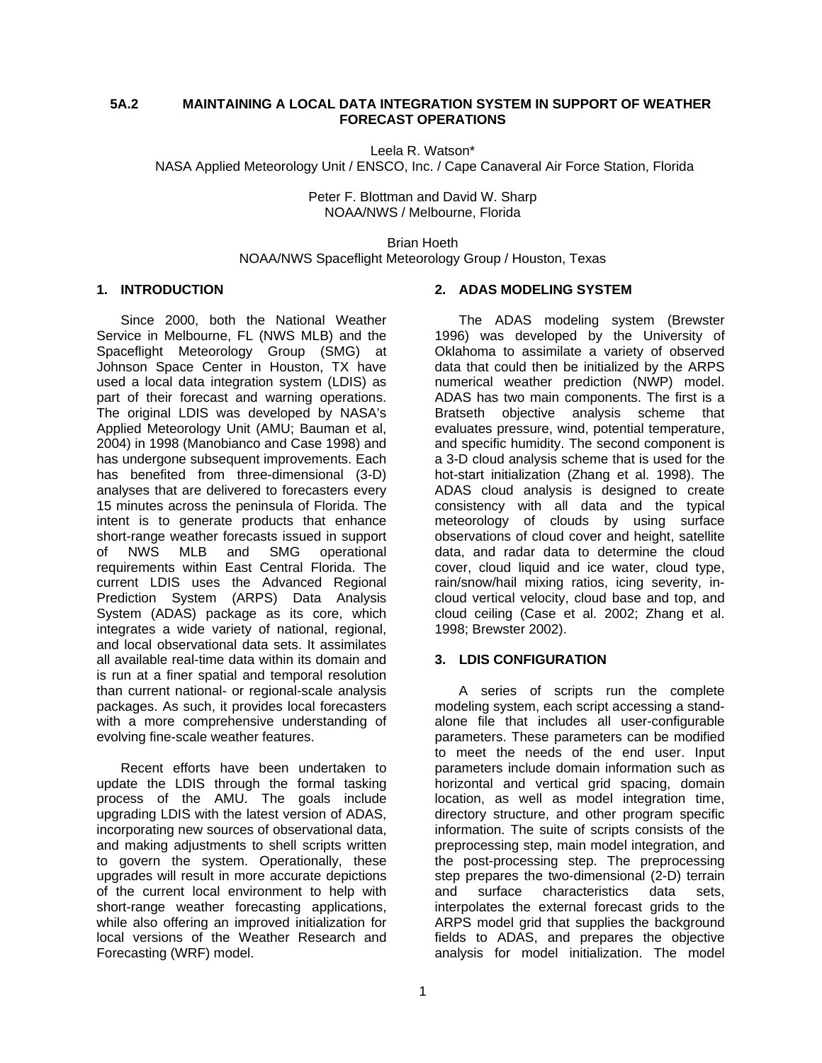### **5A.2 MAINTAINING A LOCAL DATA INTEGRATION SYSTEM IN SUPPORT OF WEATHER FORECAST OPERATIONS**

Leela R. Watson\* NASA Applied Meteorology Unit / ENSCO, Inc. / Cape Canaveral Air Force Station, Florida

> Peter F. Blottman and David W. Sharp NOAA/NWS / Melbourne, Florida

Brian Hoeth NOAA/NWS Spaceflight Meteorology Group / Houston, Texas

#### **1. INTRODUCTION**

Since 2000, both the National Weather Service in Melbourne, FL (NWS MLB) and the Spaceflight Meteorology Group (SMG) at Johnson Space Center in Houston, TX have used a local data integration system (LDIS) as part of their forecast and warning operations. The original LDIS was developed by NASA's Applied Meteorology Unit (AMU; Bauman et al, 2004) in 1998 (Manobianco and Case 1998) and has undergone subsequent improvements. Each has benefited from three-dimensional (3-D) analyses that are delivered to forecasters every 15 minutes across the peninsula of Florida. The intent is to generate products that enhance short-range weather forecasts issued in support of NWS MLB and SMG operational requirements within East Central Florida. The current LDIS uses the Advanced Regional Prediction System (ARPS) Data Analysis System (ADAS) package as its core, which integrates a wide variety of national, regional, and local observational data sets. It assimilates all available real-time data within its domain and is run at a finer spatial and temporal resolution than current national- or regional-scale analysis packages. As such, it provides local forecasters with a more comprehensive understanding of evolving fine-scale weather features.

Recent efforts have been undertaken to update the LDIS through the formal tasking process of the AMU. The goals include upgrading LDIS with the latest version of ADAS, incorporating new sources of observational data, and making adjustments to shell scripts written to govern the system. Operationally, these upgrades will result in more accurate depictions of the current local environment to help with short-range weather forecasting applications, while also offering an improved initialization for local versions of the Weather Research and Forecasting (WRF) model.

## **2. ADAS MODELING SYSTEM**

The ADAS modeling system (Brewster 1996) was developed by the University of Oklahoma to assimilate a variety of observed data that could then be initialized by the ARPS numerical weather prediction (NWP) model. ADAS has two main components. The first is a Bratseth objective analysis scheme that evaluates pressure, wind, potential temperature, and specific humidity. The second component is a 3-D cloud analysis scheme that is used for the hot-start initialization (Zhang et al. 1998). The ADAS cloud analysis is designed to create consistency with all data and the typical meteorology of clouds by using surface observations of cloud cover and height, satellite data, and radar data to determine the cloud cover, cloud liquid and ice water, cloud type, rain/snow/hail mixing ratios, icing severity, incloud vertical velocity, cloud base and top, and cloud ceiling (Case et al. 2002; Zhang et al. 1998; Brewster 2002).

#### **3. LDIS CONFIGURATION**

A series of scripts run the complete modeling system, each script accessing a standalone file that includes all user-configurable parameters. These parameters can be modified to meet the needs of the end user. Input parameters include domain information such as horizontal and vertical grid spacing, domain location, as well as model integration time, directory structure, and other program specific information. The suite of scripts consists of the preprocessing step, main model integration, and the post-processing step. The preprocessing step prepares the two-dimensional (2-D) terrain and surface characteristics data sets, interpolates the external forecast grids to the ARPS model grid that supplies the background fields to ADAS, and prepares the objective analysis for model initialization. The model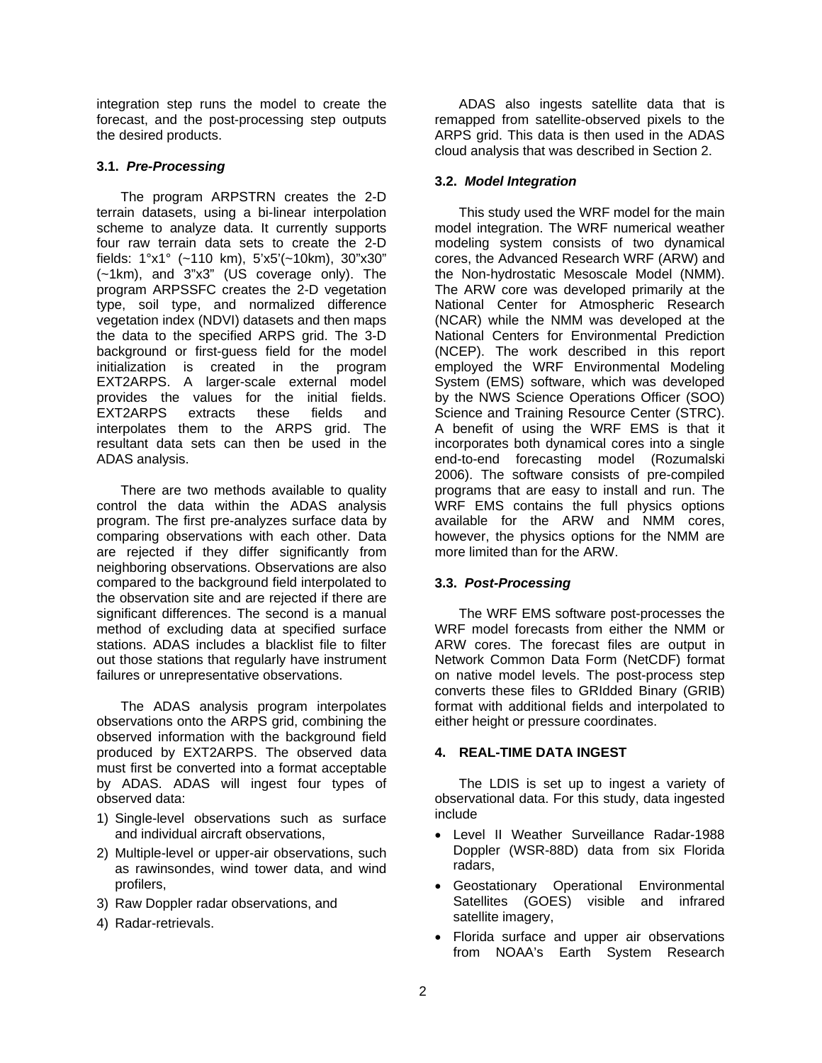integration step runs the model to create the forecast, and the post-processing step outputs the desired products.

#### **3.1.** *Pre-Processing*

The program ARPSTRN creates the 2-D terrain datasets, using a bi-linear interpolation scheme to analyze data. It currently supports four raw terrain data sets to create the 2-D fields: 1°x1° (~110 km), 5'x5'(~10km), 30"x30" (~1km), and 3"x3" (US coverage only). The program ARPSSFC creates the 2-D vegetation type, soil type, and normalized difference vegetation index (NDVI) datasets and then maps the data to the specified ARPS grid. The 3-D background or first-guess field for the model initialization is created in the program EXT2ARPS. A larger-scale external model provides the values for the initial fields.<br>EXT2ARPS extracts these fields and EXT2ARPS extracts these fields and interpolates them to the ARPS grid. The resultant data sets can then be used in the ADAS analysis.

There are two methods available to quality control the data within the ADAS analysis program. The first pre-analyzes surface data by comparing observations with each other. Data are rejected if they differ significantly from neighboring observations. Observations are also compared to the background field interpolated to the observation site and are rejected if there are significant differences. The second is a manual method of excluding data at specified surface stations. ADAS includes a blacklist file to filter out those stations that regularly have instrument failures or unrepresentative observations.

The ADAS analysis program interpolates observations onto the ARPS grid, combining the observed information with the background field produced by EXT2ARPS. The observed data must first be converted into a format acceptable by ADAS. ADAS will ingest four types of observed data:

- 1) Single-level observations such as surface and individual aircraft observations,
- 2) Multiple-level or upper-air observations, such as rawinsondes, wind tower data, and wind profilers,
- 3) Raw Doppler radar observations, and
- 4) Radar-retrievals.

ADAS also ingests satellite data that is remapped from satellite-observed pixels to the ARPS grid. This data is then used in the ADAS cloud analysis that was described in Section 2.

## **3.2.** *Model Integration*

This study used the WRF model for the main model integration. The WRF numerical weather modeling system consists of two dynamical cores, the Advanced Research WRF (ARW) and the Non-hydrostatic Mesoscale Model (NMM). The ARW core was developed primarily at the National Center for Atmospheric Research (NCAR) while the NMM was developed at the National Centers for Environmental Prediction (NCEP). The work described in this report employed the WRF Environmental Modeling System (EMS) software, which was developed by the NWS Science Operations Officer (SOO) Science and Training Resource Center (STRC). A benefit of using the WRF EMS is that it incorporates both dynamical cores into a single end-to-end forecasting model (Rozumalski 2006). The software consists of pre-compiled programs that are easy to install and run. The WRF EMS contains the full physics options available for the ARW and NMM cores, however, the physics options for the NMM are more limited than for the ARW.

#### **3.3.** *Post-Processing*

The WRF EMS software post-processes the WRF model forecasts from either the NMM or ARW cores. The forecast files are output in Network Common Data Form (NetCDF) format on native model levels. The post-process step converts these files to GRIdded Binary (GRIB) format with additional fields and interpolated to either height or pressure coordinates.

## **4. REAL-TIME DATA INGEST**

The LDIS is set up to ingest a variety of observational data. For this study, data ingested include

- Level II Weather Surveillance Radar-1988 Doppler (WSR-88D) data from six Florida radars,
- Geostationary Operational Environmental Satellites (GOES) visible and infrared satellite imagery,
- Florida surface and upper air observations from NOAA's Earth System Research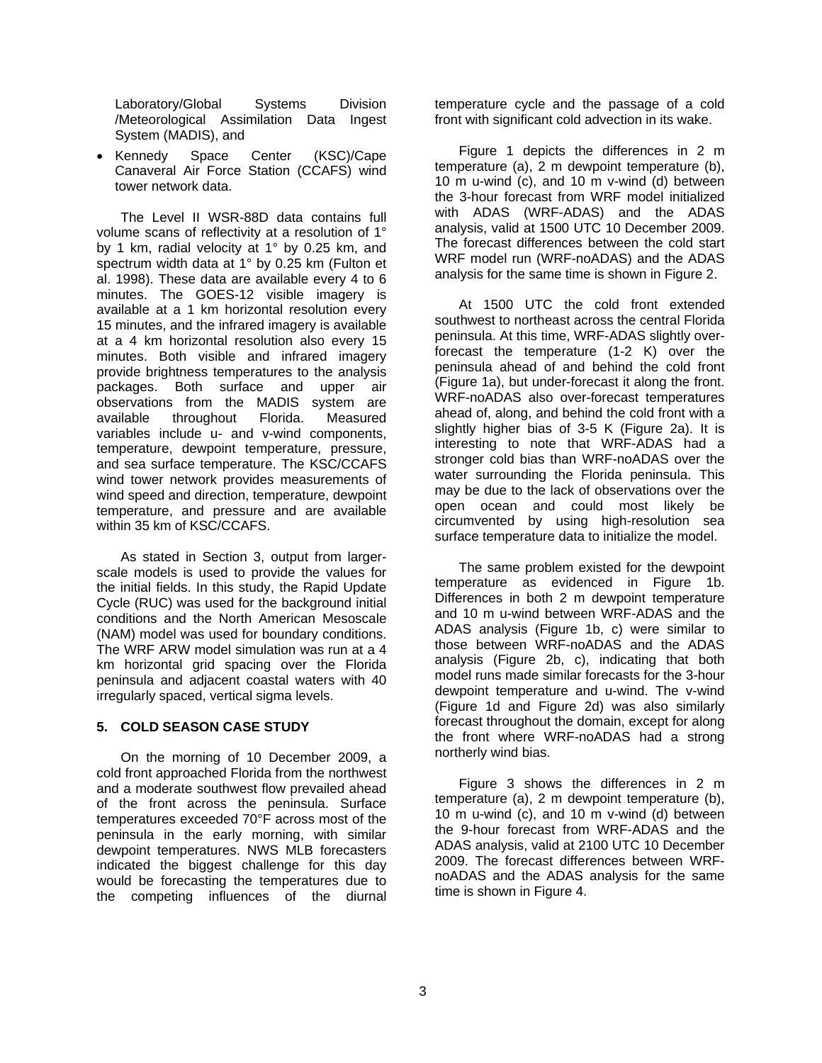Laboratory/Global Systems Division /Meteorological Assimilation Data Ingest System (MADIS), and

• Kennedy Space Center (KSC)/Cape Canaveral Air Force Station (CCAFS) wind tower network data.

The Level II WSR-88D data contains full volume scans of reflectivity at a resolution of 1° by 1 km, radial velocity at 1° by 0.25 km, and spectrum width data at 1° by 0.25 km (Fulton et al. 1998). These data are available every 4 to 6 minutes. The GOES-12 visible imagery is available at a 1 km horizontal resolution every 15 minutes, and the infrared imagery is available at a 4 km horizontal resolution also every 15 minutes. Both visible and infrared imagery provide brightness temperatures to the analysis packages. Both surface and upper air observations from the MADIS system are available throughout Florida. Measured variables include u- and v-wind components, temperature, dewpoint temperature, pressure, and sea surface temperature. The KSC/CCAFS wind tower network provides measurements of wind speed and direction, temperature, dewpoint temperature, and pressure and are available within 35 km of KSC/CCAFS.

As stated in Section 3, output from largerscale models is used to provide the values for the initial fields. In this study, the Rapid Update Cycle (RUC) was used for the background initial conditions and the North American Mesoscale (NAM) model was used for boundary conditions. The WRF ARW model simulation was run at a 4 km horizontal grid spacing over the Florida peninsula and adjacent coastal waters with 40 irregularly spaced, vertical sigma levels.

#### **5. COLD SEASON CASE STUDY**

On the morning of 10 December 2009, a cold front approached Florida from the northwest and a moderate southwest flow prevailed ahead of the front across the peninsula. Surface temperatures exceeded 70°F across most of the peninsula in the early morning, with similar dewpoint temperatures. NWS MLB forecasters indicated the biggest challenge for this day would be forecasting the temperatures due to the competing influences of the diurnal

temperature cycle and the passage of a cold front with significant cold advection in its wake.

Figure 1 depicts the differences in 2 m temperature (a), 2 m dewpoint temperature (b), 10 m u-wind (c), and 10 m v-wind (d) between the 3-hour forecast from WRF model initialized with ADAS (WRF-ADAS) and the ADAS analysis, valid at 1500 UTC 10 December 2009. The forecast differences between the cold start WRF model run (WRF-noADAS) and the ADAS analysis for the same time is shown in Figure 2.

At 1500 UTC the cold front extended southwest to northeast across the central Florida peninsula. At this time, WRF-ADAS slightly overforecast the temperature (1-2 K) over the peninsula ahead of and behind the cold front (Figure 1a), but under-forecast it along the front. WRF-noADAS also over-forecast temperatures ahead of, along, and behind the cold front with a slightly higher bias of 3-5 K (Figure 2a). It is interesting to note that WRF-ADAS had a stronger cold bias than WRF-noADAS over the water surrounding the Florida peninsula. This may be due to the lack of observations over the open ocean and could most likely be circumvented by using high-resolution sea surface temperature data to initialize the model.

The same problem existed for the dewpoint temperature as evidenced in Figure 1b. Differences in both 2 m dewpoint temperature and 10 m u-wind between WRF-ADAS and the ADAS analysis (Figure 1b, c) were similar to those between WRF-noADAS and the ADAS analysis (Figure 2b, c), indicating that both model runs made similar forecasts for the 3-hour dewpoint temperature and u-wind. The v-wind (Figure 1d and Figure 2d) was also similarly forecast throughout the domain, except for along the front where WRF-noADAS had a strong northerly wind bias.

Figure 3 shows the differences in 2 m temperature (a), 2 m dewpoint temperature (b), 10 m u-wind (c), and 10 m v-wind (d) between the 9-hour forecast from WRF-ADAS and the ADAS analysis, valid at 2100 UTC 10 December 2009. The forecast differences between WRFnoADAS and the ADAS analysis for the same time is shown in Figure 4.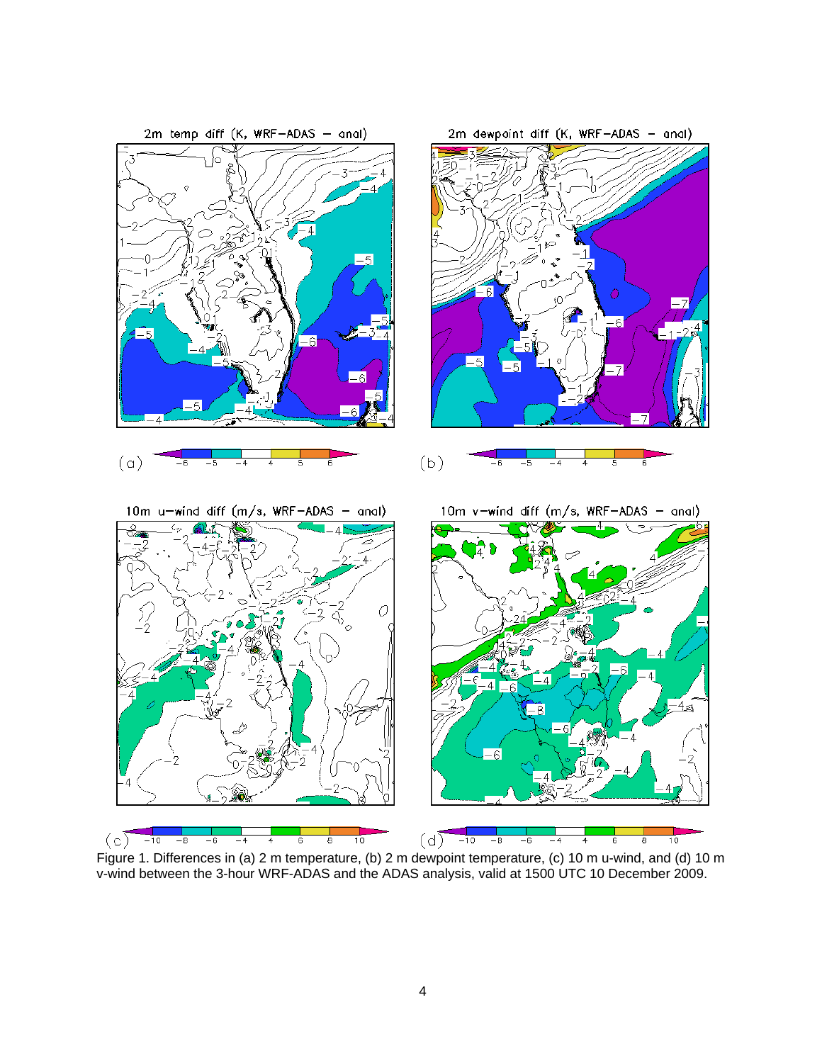

Figure 1. Differences in (a) 2 m temperature, (b) 2 m dewpoint temperature, (c) 10 m u-wind, and (d) 10 m v-wind between the 3-hour WRF-ADAS and the ADAS analysis, valid at 1500 UTC 10 December 2009.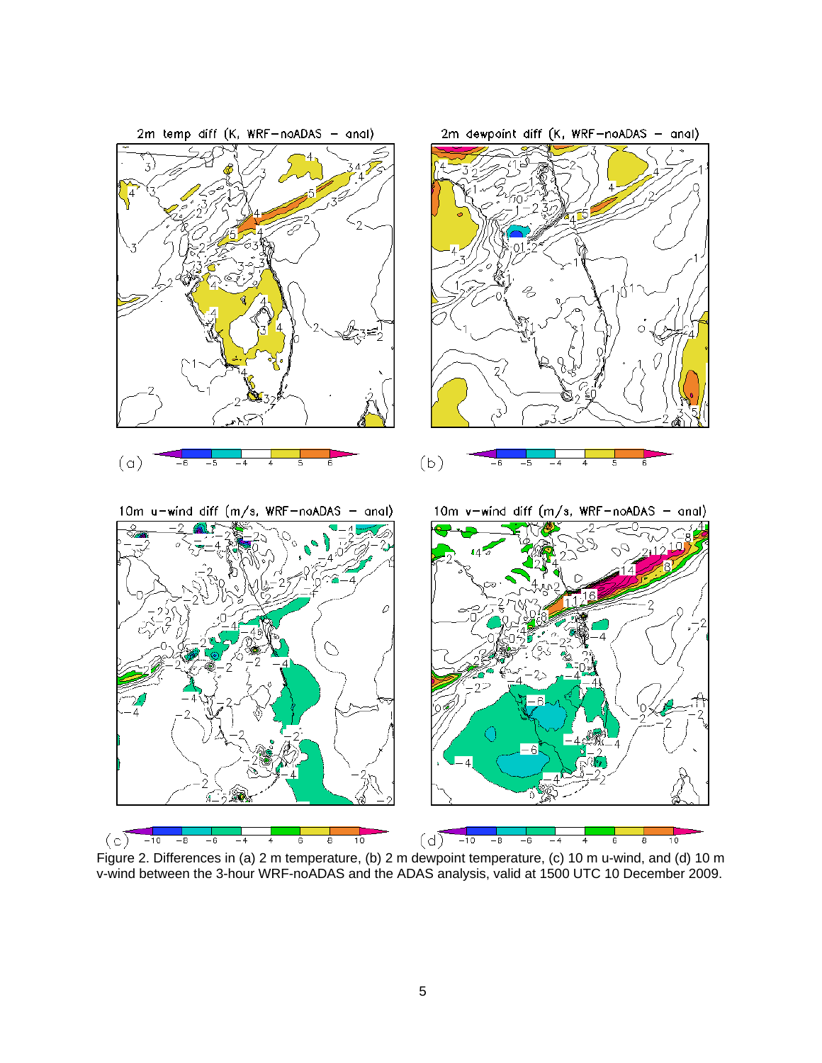

Figure 2. Differences in (a) 2 m temperature, (b) 2 m dewpoint temperature, (c) 10 m u-wind, and (d) 10 m v-wind between the 3-hour WRF-noADAS and the ADAS analysis, valid at 1500 UTC 10 December 2009.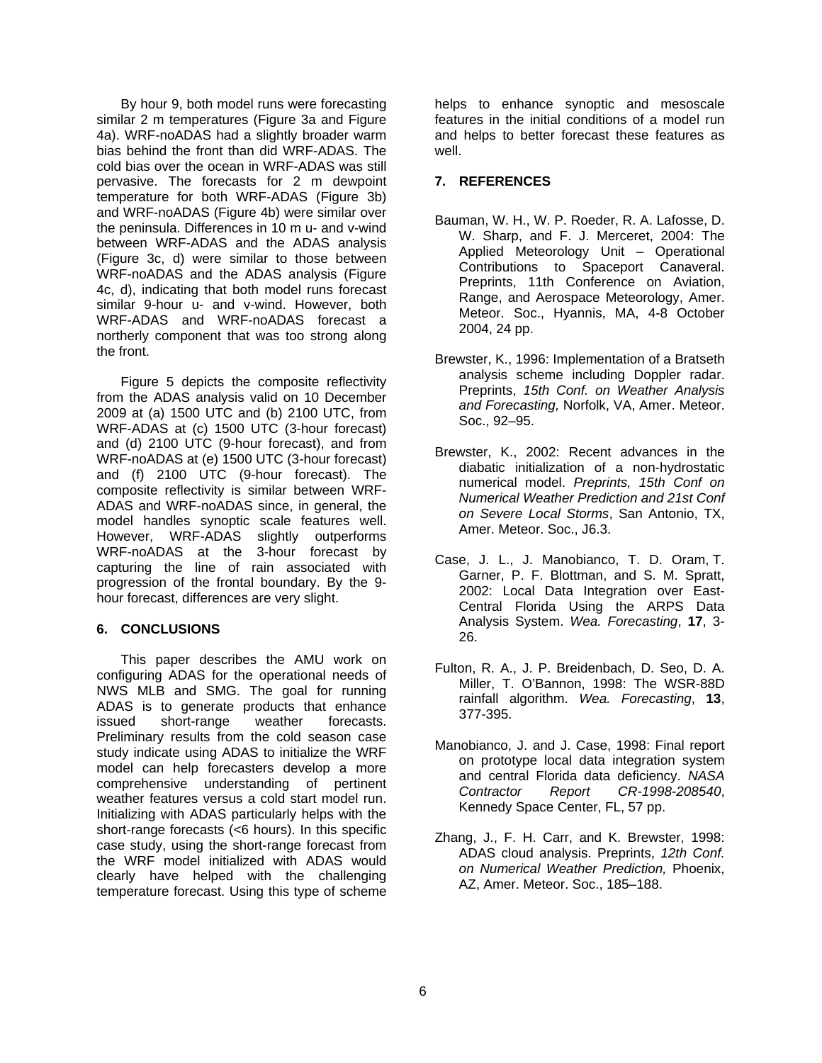By hour 9, both model runs were forecasting similar 2 m temperatures (Figure 3a and Figure 4a). WRF-noADAS had a slightly broader warm bias behind the front than did WRF-ADAS. The cold bias over the ocean in WRF-ADAS was still pervasive. The forecasts for 2 m dewpoint temperature for both WRF-ADAS (Figure 3b) and WRF-noADAS (Figure 4b) were similar over the peninsula. Differences in 10 m u- and v-wind between WRF-ADAS and the ADAS analysis (Figure 3c, d) were similar to those between WRF-noADAS and the ADAS analysis (Figure 4c, d), indicating that both model runs forecast similar 9-hour u- and v-wind. However, both WRF-ADAS and WRF-noADAS forecast a northerly component that was too strong along the front.

Figure 5 depicts the composite reflectivity from the ADAS analysis valid on 10 December 2009 at (a) 1500 UTC and (b) 2100 UTC, from WRF-ADAS at (c) 1500 UTC (3-hour forecast) and (d) 2100 UTC (9-hour forecast), and from WRF-noADAS at (e) 1500 UTC (3-hour forecast) and (f) 2100 UTC (9-hour forecast). The composite reflectivity is similar between WRF-ADAS and WRF-noADAS since, in general, the model handles synoptic scale features well. However, WRF-ADAS slightly outperforms WRF-noADAS at the 3-hour forecast by capturing the line of rain associated with progression of the frontal boundary. By the 9 hour forecast, differences are very slight.

## **6. CONCLUSIONS**

This paper describes the AMU work on configuring ADAS for the operational needs of NWS MLB and SMG. The goal for running ADAS is to generate products that enhance issued short-range weather forecasts. Preliminary results from the cold season case study indicate using ADAS to initialize the WRF model can help forecasters develop a more comprehensive understanding of pertinent weather features versus a cold start model run. Initializing with ADAS particularly helps with the short-range forecasts (<6 hours). In this specific case study, using the short-range forecast from the WRF model initialized with ADAS would clearly have helped with the challenging temperature forecast. Using this type of scheme

helps to enhance synoptic and mesoscale features in the initial conditions of a model run and helps to better forecast these features as well.

# **7. REFERENCES**

- Bauman, W. H., W. P. Roeder, R. A. Lafosse, D. W. Sharp, and F. J. Merceret, 2004: The Applied Meteorology Unit – Operational Contributions to Spaceport Canaveral. Preprints, 11th Conference on Aviation, Range, and Aerospace Meteorology, Amer. Meteor. Soc., Hyannis, MA, 4-8 October 2004, 24 pp.
- Brewster, K., 1996: Implementation of a Bratseth analysis scheme including Doppler radar. Preprints, *15th Conf. on Weather Analysis and Forecasting,* Norfolk, VA, Amer. Meteor. Soc., 92–95.
- Brewster, K., 2002: Recent advances in the diabatic initialization of a non-hydrostatic numerical model. *Preprints, 15th Conf on Numerical Weather Prediction and 21st Conf on Severe Local Storms*, San Antonio, TX, Amer. Meteor. Soc., J6.3.
- Case, J. L., J. Manobianco, T. D. Oram, T. Garner, P. F. Blottman, and S. M. Spratt, 2002: Local Data Integration over East-Central Florida Using the ARPS Data Analysis System. *Wea. Forecasting*, **17**, 3- 26.
- Fulton, R. A., J. P. Breidenbach, D. Seo, D. A. Miller, T. O'Bannon, 1998: The WSR-88D rainfall algorithm. *Wea. Forecasting*, **13**, 377-395.
- Manobianco, J. and J. Case, 1998: Final report on prototype local data integration system and central Florida data deficiency. *NASA Contractor Report CR-1998-208540*, Kennedy Space Center, FL, 57 pp.
- Zhang, J., F. H. Carr, and K. Brewster, 1998: ADAS cloud analysis. Preprints, *12th Conf. on Numerical Weather Prediction,* Phoenix, AZ, Amer. Meteor. Soc., 185–188.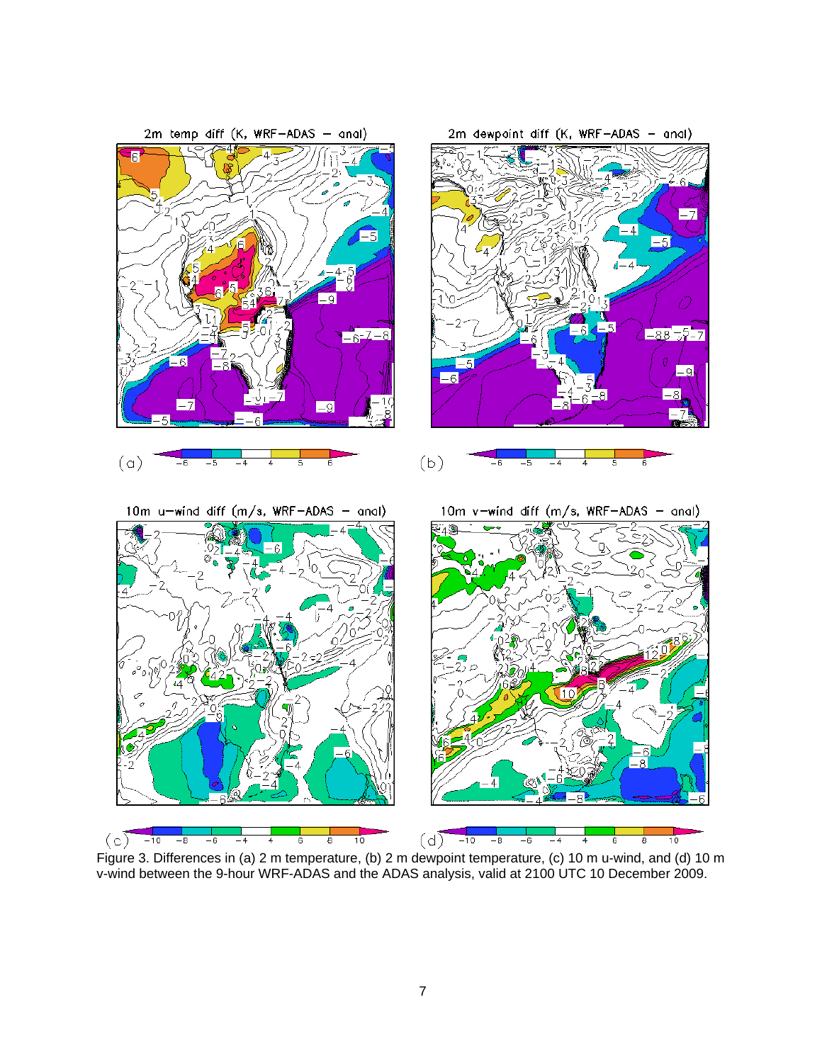

Figure 3. Differences in (a) 2 m temperature, (b) 2 m dewpoint temperature, (c) 10 m u-wind, and (d) 10 m v-wind between the 9-hour WRF-ADAS and the ADAS analysis, valid at 2100 UTC 10 December 2009.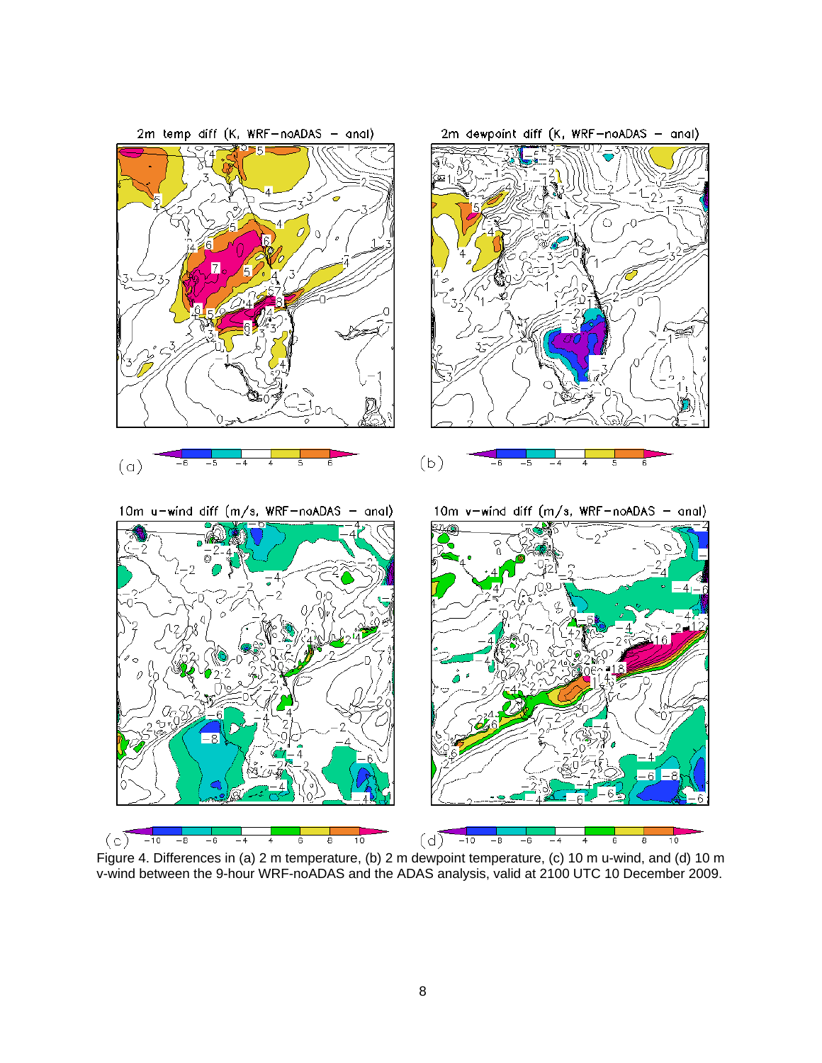

Figure 4. Differences in (a) 2 m temperature, (b) 2 m dewpoint temperature, (c) 10 m u-wind, and (d) 10 m v-wind between the 9-hour WRF-noADAS and the ADAS analysis, valid at 2100 UTC 10 December 2009.